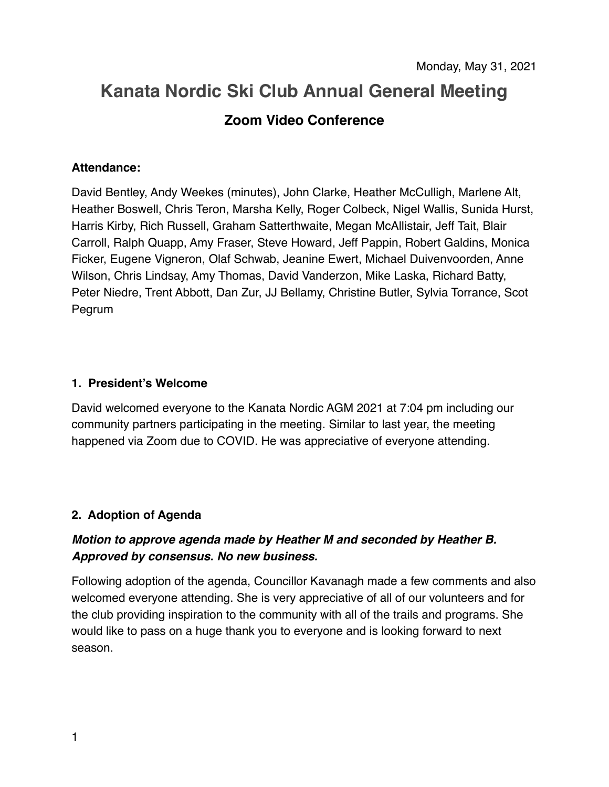# **Kanata Nordic Ski Club Annual General Meeting Zoom Video Conference**

## **Attendance:**

David Bentley, Andy Weekes (minutes), John Clarke, Heather McCulligh, Marlene Alt, Heather Boswell, Chris Teron, Marsha Kelly, Roger Colbeck, Nigel Wallis, Sunida Hurst, Harris Kirby, Rich Russell, Graham Satterthwaite, Megan McAllistair, Jeff Tait, Blair Carroll, Ralph Quapp, Amy Fraser, Steve Howard, Jeff Pappin, Robert Galdins, Monica Ficker, Eugene Vigneron, Olaf Schwab, Jeanine Ewert, Michael Duivenvoorden, Anne Wilson, Chris Lindsay, Amy Thomas, David Vanderzon, Mike Laska, Richard Batty, Peter Niedre, Trent Abbott, Dan Zur, JJ Bellamy, Christine Butler, Sylvia Torrance, Scot Pegrum

## **1. President's Welcome**

David welcomed everyone to the Kanata Nordic AGM 2021 at 7:04 pm including our community partners participating in the meeting. Similar to last year, the meeting happened via Zoom due to COVID. He was appreciative of everyone attending.

# **2. Adoption of Agenda**

# *Motion to approve agenda made by Heather M and seconded by Heather B. Approved by consensus. No new business.*

Following adoption of the agenda, Councillor Kavanagh made a few comments and also welcomed everyone attending. She is very appreciative of all of our volunteers and for the club providing inspiration to the community with all of the trails and programs. She would like to pass on a huge thank you to everyone and is looking forward to next season.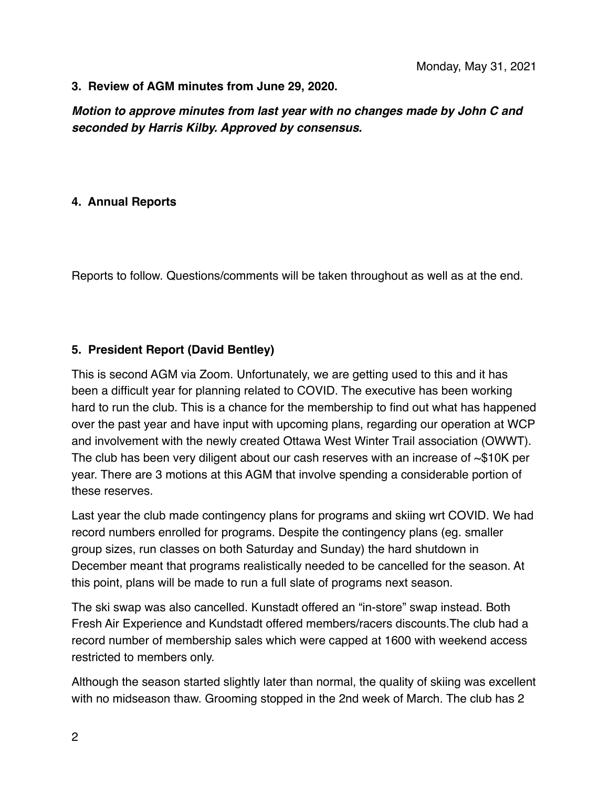#### **3. Review of AGM minutes from June 29, 2020.**

*Motion to approve minutes from last year with no changes made by John C and seconded by Harris Kilby. Approved by consensus.* 

#### **4. Annual Reports**

Reports to follow. Questions/comments will be taken throughout as well as at the end.

## **5. President Report (David Bentley)**

This is second AGM via Zoom. Unfortunately, we are getting used to this and it has been a difficult year for planning related to COVID. The executive has been working hard to run the club. This is a chance for the membership to find out what has happened over the past year and have input with upcoming plans, regarding our operation at WCP and involvement with the newly created Ottawa West Winter Trail association (OWWT). The club has been very diligent about our cash reserves with an increase of  $\sim$ \$10K per year. There are 3 motions at this AGM that involve spending a considerable portion of these reserves.

Last year the club made contingency plans for programs and skiing wrt COVID. We had record numbers enrolled for programs. Despite the contingency plans (eg. smaller group sizes, run classes on both Saturday and Sunday) the hard shutdown in December meant that programs realistically needed to be cancelled for the season. At this point, plans will be made to run a full slate of programs next season.

The ski swap was also cancelled. Kunstadt offered an "in-store" swap instead. Both Fresh Air Experience and Kundstadt offered members/racers discounts.The club had a record number of membership sales which were capped at 1600 with weekend access restricted to members only.

Although the season started slightly later than normal, the quality of skiing was excellent with no midseason thaw. Grooming stopped in the 2nd week of March. The club has 2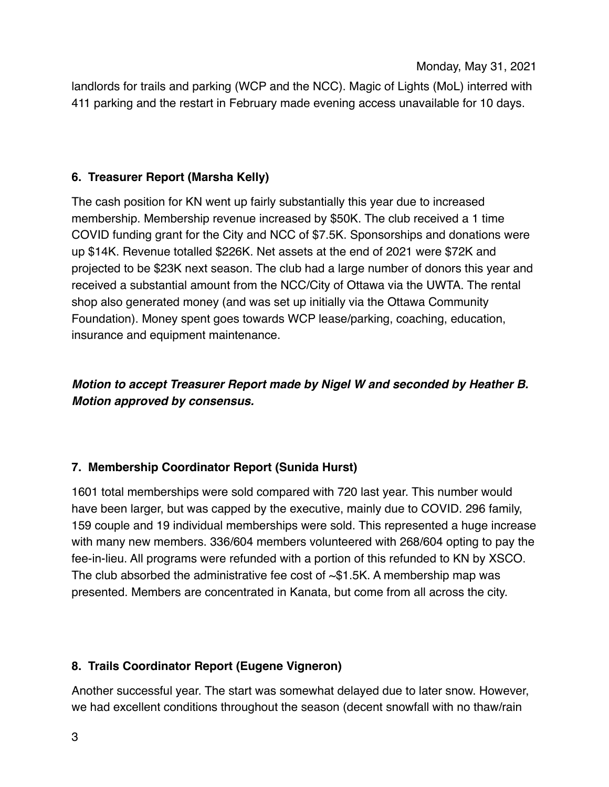Monday, May 31, 2021

landlords for trails and parking (WCP and the NCC). Magic of Lights (MoL) interred with 411 parking and the restart in February made evening access unavailable for 10 days.

# **6. Treasurer Report (Marsha Kelly)**

The cash position for KN went up fairly substantially this year due to increased membership. Membership revenue increased by \$50K. The club received a 1 time COVID funding grant for the City and NCC of \$7.5K. Sponsorships and donations were up \$14K. Revenue totalled \$226K. Net assets at the end of 2021 were \$72K and projected to be \$23K next season. The club had a large number of donors this year and received a substantial amount from the NCC/City of Ottawa via the UWTA. The rental shop also generated money (and was set up initially via the Ottawa Community Foundation). Money spent goes towards WCP lease/parking, coaching, education, insurance and equipment maintenance.

# *Motion to accept Treasurer Report made by Nigel W and seconded by Heather B. Motion approved by consensus.*

# **7. Membership Coordinator Report (Sunida Hurst)**

1601 total memberships were sold compared with 720 last year. This number would have been larger, but was capped by the executive, mainly due to COVID. 296 family, 159 couple and 19 individual memberships were sold. This represented a huge increase with many new members. 336/604 members volunteered with 268/604 opting to pay the fee-in-lieu. All programs were refunded with a portion of this refunded to KN by XSCO. The club absorbed the administrative fee cost of  $\sim$ \$1.5K. A membership map was presented. Members are concentrated in Kanata, but come from all across the city.

# **8. Trails Coordinator Report (Eugene Vigneron)**

Another successful year. The start was somewhat delayed due to later snow. However, we had excellent conditions throughout the season (decent snowfall with no thaw/rain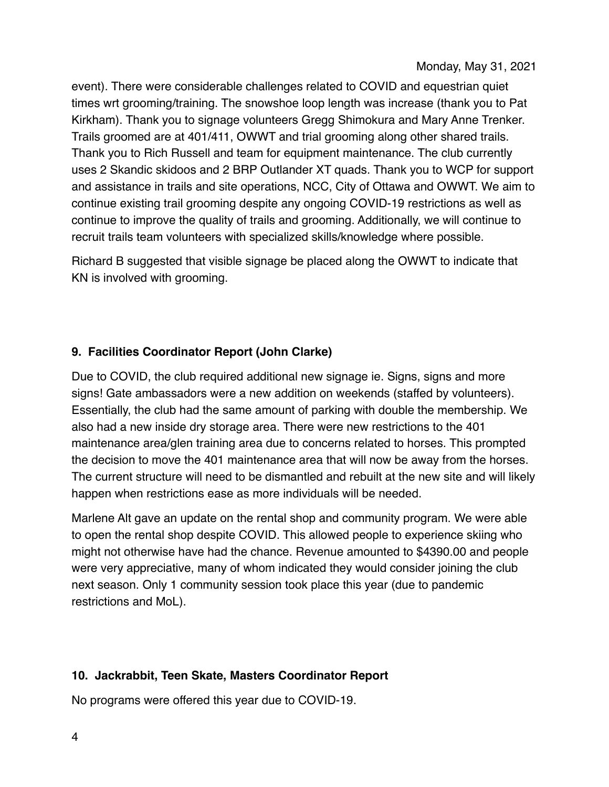event). There were considerable challenges related to COVID and equestrian quiet times wrt grooming/training. The snowshoe loop length was increase (thank you to Pat Kirkham). Thank you to signage volunteers Gregg Shimokura and Mary Anne Trenker. Trails groomed are at 401/411, OWWT and trial grooming along other shared trails. Thank you to Rich Russell and team for equipment maintenance. The club currently uses 2 Skandic skidoos and 2 BRP Outlander XT quads. Thank you to WCP for support and assistance in trails and site operations, NCC, City of Ottawa and OWWT. We aim to continue existing trail grooming despite any ongoing COVID-19 restrictions as well as continue to improve the quality of trails and grooming. Additionally, we will continue to recruit trails team volunteers with specialized skills/knowledge where possible.

Richard B suggested that visible signage be placed along the OWWT to indicate that KN is involved with grooming.

# **9. Facilities Coordinator Report (John Clarke)**

Due to COVID, the club required additional new signage ie. Signs, signs and more signs! Gate ambassadors were a new addition on weekends (staffed by volunteers). Essentially, the club had the same amount of parking with double the membership. We also had a new inside dry storage area. There were new restrictions to the 401 maintenance area/glen training area due to concerns related to horses. This prompted the decision to move the 401 maintenance area that will now be away from the horses. The current structure will need to be dismantled and rebuilt at the new site and will likely happen when restrictions ease as more individuals will be needed.

Marlene Alt gave an update on the rental shop and community program. We were able to open the rental shop despite COVID. This allowed people to experience skiing who might not otherwise have had the chance. Revenue amounted to \$4390.00 and people were very appreciative, many of whom indicated they would consider joining the club next season. Only 1 community session took place this year (due to pandemic restrictions and MoL).

# **10. Jackrabbit, Teen Skate, Masters Coordinator Report**

No programs were offered this year due to COVID-19.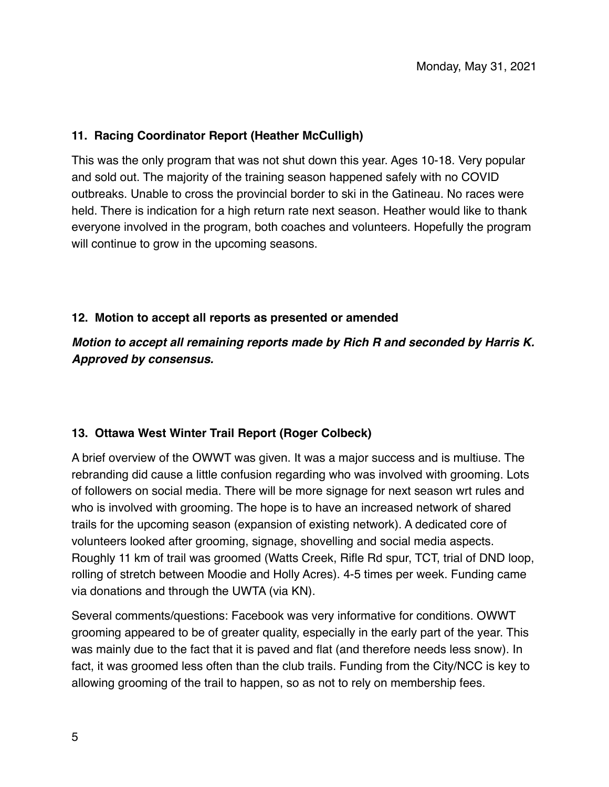## **11. Racing Coordinator Report (Heather McCulligh)**

This was the only program that was not shut down this year. Ages 10-18. Very popular and sold out. The majority of the training season happened safely with no COVID outbreaks. Unable to cross the provincial border to ski in the Gatineau. No races were held. There is indication for a high return rate next season. Heather would like to thank everyone involved in the program, both coaches and volunteers. Hopefully the program will continue to grow in the upcoming seasons.

## **12. Motion to accept all reports as presented or amended**

*Motion to accept all remaining reports made by Rich R and seconded by Harris K. Approved by consensus.* 

## **13. Ottawa West Winter Trail Report (Roger Colbeck)**

A brief overview of the OWWT was given. It was a major success and is multiuse. The rebranding did cause a little confusion regarding who was involved with grooming. Lots of followers on social media. There will be more signage for next season wrt rules and who is involved with grooming. The hope is to have an increased network of shared trails for the upcoming season (expansion of existing network). A dedicated core of volunteers looked after grooming, signage, shovelling and social media aspects. Roughly 11 km of trail was groomed (Watts Creek, Rifle Rd spur, TCT, trial of DND loop, rolling of stretch between Moodie and Holly Acres). 4-5 times per week. Funding came via donations and through the UWTA (via KN).

Several comments/questions: Facebook was very informative for conditions. OWWT grooming appeared to be of greater quality, especially in the early part of the year. This was mainly due to the fact that it is paved and flat (and therefore needs less snow). In fact, it was groomed less often than the club trails. Funding from the City/NCC is key to allowing grooming of the trail to happen, so as not to rely on membership fees.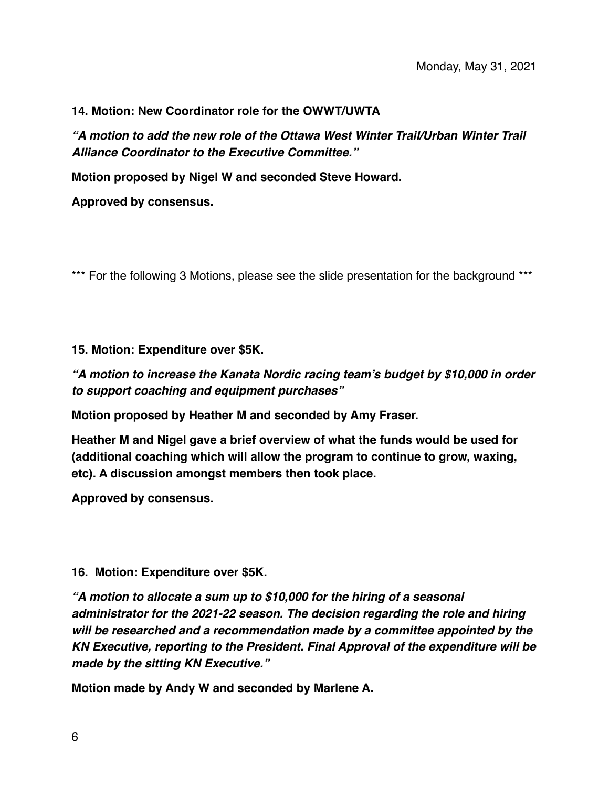#### **14. Motion: New Coordinator role for the OWWT/UWTA**

*"A motion to add the new role of the Ottawa West Winter Trail/Urban Winter Trail Alliance Coordinator to the Executive Committee."* 

**Motion proposed by Nigel W and seconded Steve Howard.** 

**Approved by consensus.** 

\*\*\* For the following 3 Motions, please see the slide presentation for the background \*\*\*

#### **15. Motion: Expenditure over \$5K.**

*"A motion to increase the Kanata Nordic racing team's budget by \$10,000 in order to support coaching and equipment purchases"* 

**Motion proposed by Heather M and seconded by Amy Fraser.** 

**Heather M and Nigel gave a brief overview of what the funds would be used for (additional coaching which will allow the program to continue to grow, waxing, etc). A discussion amongst members then took place.** 

**Approved by consensus.** 

#### **16. Motion: Expenditure over \$5K.**

*"A motion to allocate a sum up to \$10,000 for the hiring of a seasonal administrator for the 2021-22 season. The decision regarding the role and hiring will be researched and a recommendation made by a committee appointed by the KN Executive, reporting to the President. Final Approval of the expenditure will be made by the sitting KN Executive."* 

**Motion made by Andy W and seconded by Marlene A.**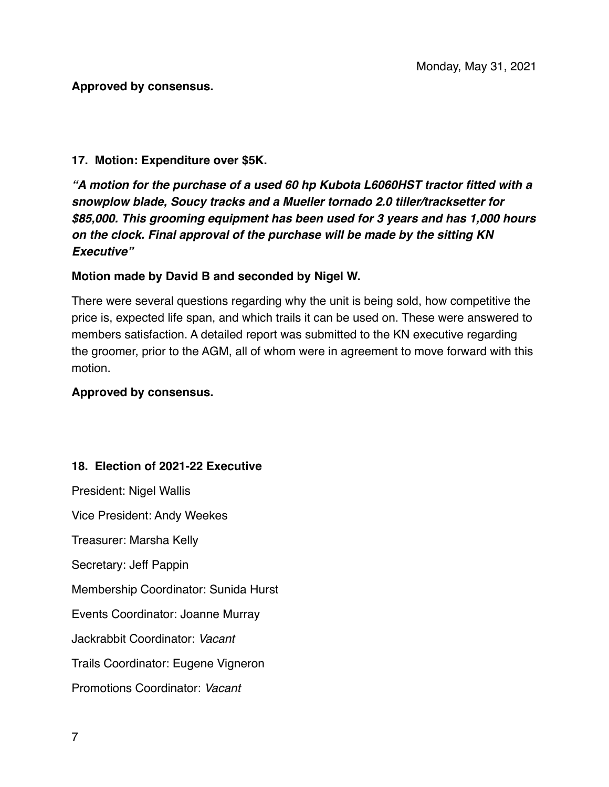#### **Approved by consensus.**

#### **17. Motion: Expenditure over \$5K.**

*"A motion for the purchase of a used 60 hp Kubota L6060HST tractor fitted with a snowplow blade, Soucy tracks and a Mueller tornado 2.0 tiller/tracksetter for \$85,000. This grooming equipment has been used for 3 years and has 1,000 hours on the clock. Final approval of the purchase will be made by the sitting KN Executive"* 

#### **Motion made by David B and seconded by Nigel W.**

There were several questions regarding why the unit is being sold, how competitive the price is, expected life span, and which trails it can be used on. These were answered to members satisfaction. A detailed report was submitted to the KN executive regarding the groomer, prior to the AGM, all of whom were in agreement to move forward with this motion.

#### **Approved by consensus.**

## **18. Election of 2021-22 Executive**

President: Nigel Wallis Vice President: Andy Weekes Treasurer: Marsha Kelly Secretary: Jeff Pappin Membership Coordinator: Sunida Hurst Events Coordinator: Joanne Murray Jackrabbit Coordinator: *Vacant*  Trails Coordinator: Eugene Vigneron Promotions Coordinator: *Vacant*